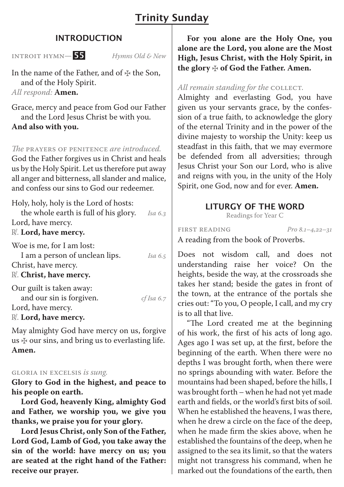# Trinity Sunday

## INTRODUCTION

Introit Hymn*—* 55 *Hymns Old & New*

In the name of the Father, and of  $\pm$  the Son, and of the Holy Spirit. *All respond:* **Amen.**

Grace, mercy and peace from God our Father and the Lord Jesus Christ be with you. **And also with you.**

*The* Prayers of Penitence *are introduced.*

God the Father forgives us in Christ and heals us by the Holy Spirit. Let us therefore put away all anger and bitterness, all slander and malice, and confess our sins to God our redeemer.

Holy, holy, holy is the Lord of hosts:

| the whole earth is full of his glory. | <i>Isa</i> 6.3 |
|---------------------------------------|----------------|
| Lord, have mercy.                     |                |
| $R$ . Lord, have mercy.               |                |

Woe is me, for I am lost:

I am a person of unclean lips. *Isa 6.5* Christ, have mercy.

℟. **Christ, have mercy.**

Our guilt is taken away:

and our sin is forgiven. *cf Isa 6.7* Lord, have mercy.

℟. **Lord, have mercy.**

May almighty God have mercy on us, forgive us  $\&$  our sins, and bring us to everlasting life. **Amen.**

#### Gloria in Excelsis *is sung.*

**Glory to God in the highest, and peace to his people on earth.** 

**Lord God, heavenly King, almighty God and Father, we worship you, we give you thanks, we praise you for your glory.** 

**Lord Jesus Christ, only Son of the Father, Lord God, Lamb of God, you take away the sin of the world: have mercy on us; you are seated at the right hand of the Father: receive our prayer.** 

**For you alone are the Holy One, you alone are the Lord, you alone are the Most High, Jesus Christ, with the Holy Spirit, in the glory** ✠ **of God the Father. Amen.**

#### *All remain standing for the COLLECT.*

Almighty and everlasting God, you have given us your servants grace, by the confession of a true faith, to acknowledge the glory of the eternal Trinity and in the power of the divine majesty to worship the Unity: keep us steadfast in this faith, that we may evermore be defended from all adversities; through Jesus Christ your Son our Lord, who is alive and reigns with you, in the unity of the Holy Spirit, one God, now and for ever. **Amen.**

LITURGY OF THE WORD

Readings for Year C

First Reading *Pro 8.1–4,22–31*

A reading from the book of Proverbs.

Does not wisdom call, and does not understanding raise her voice? On the heights, beside the way, at the crossroads she takes her stand; beside the gates in front of the town, at the entrance of the portals she cries out: "To you, O people, I call, and my cry is to all that live.

"The Lord created me at the beginning of his work, the first of his acts of long ago. Ages ago I was set up, at the first, before the beginning of the earth. When there were no depths I was brought forth, when there were no springs abounding with water. Before the mountains had been shaped, before the hills, I was brought forth – when he had not yet made earth and fields, or the world's first bits of soil. When he established the heavens, I was there, when he drew a circle on the face of the deep, when he made firm the skies above, when he established the fountains of the deep, when he assigned to the sea its limit, so that the waters might not transgress his command, when he marked out the foundations of the earth, then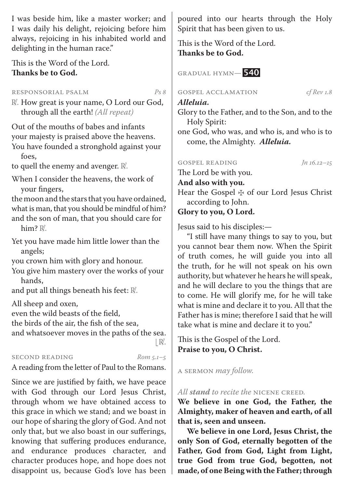I was beside him, like a master worker; and I was daily his delight, rejoicing before him always, rejoicing in his inhabited world and delighting in the human race."

This is the Word of the Lord. **Thanks be to God.**

#### Responsorial Psalm *Ps 8*

R. How great is your name, O Lord our God, through all the earth! *(All repeat)*

Out of the mouths of babes and infants your majesty is praised above the heavens. You have founded a stronghold against your

foes,

to quell the enemy and avenger. R.

When I consider the heavens, the work of your fingers,

the moon and the stars that you have ordained, what is man, that you should be mindful of him? and the son of man, that you should care for him?  $\mathbb{R}^7$ 

Yet you have made him little lower than the angels;

you crown him with glory and honour.

You give him mastery over the works of your hands,

and put all things beneath his feet:  $\mathbb{R}$ .

All sheep and oxen,

even the wild beasts of the field,

the birds of the air, the fish of the sea,

and whatsoever moves in the paths of the sea.

#### Second Reading *Rom 5.1–5*

 $\mathbb{R}$ .

A reading from the letter of Paul to the Romans.

Since we are justified by faith, we have peace with God through our Lord Jesus Christ, through whom we have obtained access to this grace in which we stand; and we boast in our hope of sharing the glory of God. And not only that, but we also boast in our sufferings, knowing that suffering produces endurance, and endurance produces character, and character produces hope, and hope does not disappoint us, because God's love has been poured into our hearts through the Holy Spirit that has been given to us.

This is the Word of the Lord. **Thanks be to God.**

Gradual Hymn*—* 540

Gospel Acclamation *cf Rev 1.8*

#### *Alleluia.*

Glory to the Father, and to the Son, and to the Holy Spirit:

one God, who was, and who is, and who is to come, the Almighty. *Alleluia.*

Gospel Reading *Jn 16.12–15*

The Lord be with you.

**And also with you.**

Hear the Gospel  $⊩$  of our Lord Jesus Christ according to John.

### **Glory to you, O Lord.**

Jesus said to his disciples:—

"I still have many things to say to you, but you cannot bear them now. When the Spirit of truth comes, he will guide you into all the truth, for he will not speak on his own authority, but whatever he hears he will speak, and he will declare to you the things that are to come. He will glorify me, for he will take what is mine and declare it to you. All that the Father has is mine; therefore I said that he will take what is mine and declare it to you."

This is the Gospel of the Lord. **Praise to you, O Christ.**

A Sermon *may follow.*

### *All stand to recite the* Nicene Creed*.*

**We believe in one God, the Father, the Almighty, maker of heaven and earth, of all that is, seen and unseen.** 

**We believe in one Lord, Jesus Christ, the only Son of God, eternally begotten of the Father, God from God, Light from Light, true God from true God, begotten, not made, of one Being with the Father; through**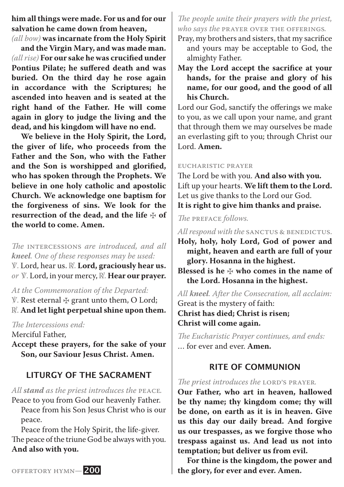**him all things were made. For us and for our salvation he came down from heaven,** 

*(all bow)* **was incarnate from the Holy Spirit and the Virgin Mary, and was made man.**  *(all rise)* **For our sake he was crucified under Pontius Pilate; he suffered death and was buried. On the third day he rose again in accordance with the Scriptures; he ascended into heaven and is seated at the right hand of the Father. He will come again in glory to judge the living and the dead, and his kingdom will have no end.** 

**We believe in the Holy Spirit, the Lord, the giver of life, who proceeds from the Father and the Son, who with the Father and the Son is worshipped and glorified, who has spoken through the Prophets. We believe in one holy catholic and apostolic Church. We acknowledge one baptism for the forgiveness of sins. We look for the resurrection of the dead, and the life** ✠ **of the world to come. Amen.**

*The* Intercessions *are introduced, and all kneel. One of these responses may be used:* ℣. Lord, hear us. ℟. **Lord, graciously hear us.**

*or* ℣. Lord, in your mercy, ℟. **Hear our prayer.**

*At the Commemoration of the Departed:* ℣. Rest eternal ✠ grant unto them, O Lord;  $\mathbb{R}$ . And let light perpetual shine upon them.

### *The Intercessions end:*

Merciful Father,

**Accept these prayers, for the sake of your Son, our Saviour Jesus Christ. Amen.**

# LITURGY OF THE SACRAMENT

*All stand as the priest introduces the* Peace*.*  Peace to you from God our heavenly Father. Peace from his Son Jesus Christ who is our

peace.

Peace from the Holy Spirit, the life-giver. The peace of the triune God be always with you. **And also with you.**

# Offertory Hymn*—* 200

*The people unite their prayers with the priest, who says the* Prayer over the Offerings*.*

Pray, my brothers and sisters, that my sacrifice and yours may be acceptable to God, the almighty Father.

**May the Lord accept the sacrifice at your hands, for the praise and glory of his name, for our good, and the good of all his Church.**

Lord our God, sanctify the offerings we make to you, as we call upon your name, and grant that through them we may ourselves be made an everlasting gift to you; through Christ our Lord. **Amen.**

#### Eucharistic Prayer

The Lord be with you. **And also with you.** Lift up your hearts. **We lift them to the Lord.** Let us give thanks to the Lord our God. **It is right to give him thanks and praise.**

### *The* Preface *follows.*

All respond with the SANCTUS & BENEDICTUS.

**Holy, holy, holy Lord, God of power and might, heaven and earth are full of your glory. Hosanna in the highest.**

**Blessed is he** ✠ **who comes in the name of the Lord. Hosanna in the highest.**

*All kneel. After the Consecration, all acclaim:* Great is the mystery of faith: **Christ has died; Christ is risen; Christ will come again.**

*The Eucharistic Prayer continues, and ends:* … for ever and ever. **Amen.**

# RITE OF COMMUNION

### *The priest introduces the LORD'S PRAYER.*

**Our Father, who art in heaven, hallowed be thy name; thy kingdom come; thy will be done, on earth as it is in heaven. Give us this day our daily bread. And forgive us our trespasses, as we forgive those who trespass against us. And lead us not into temptation; but deliver us from evil.** 

**For thine is the kingdom, the power and the glory, for ever and ever. Amen.**